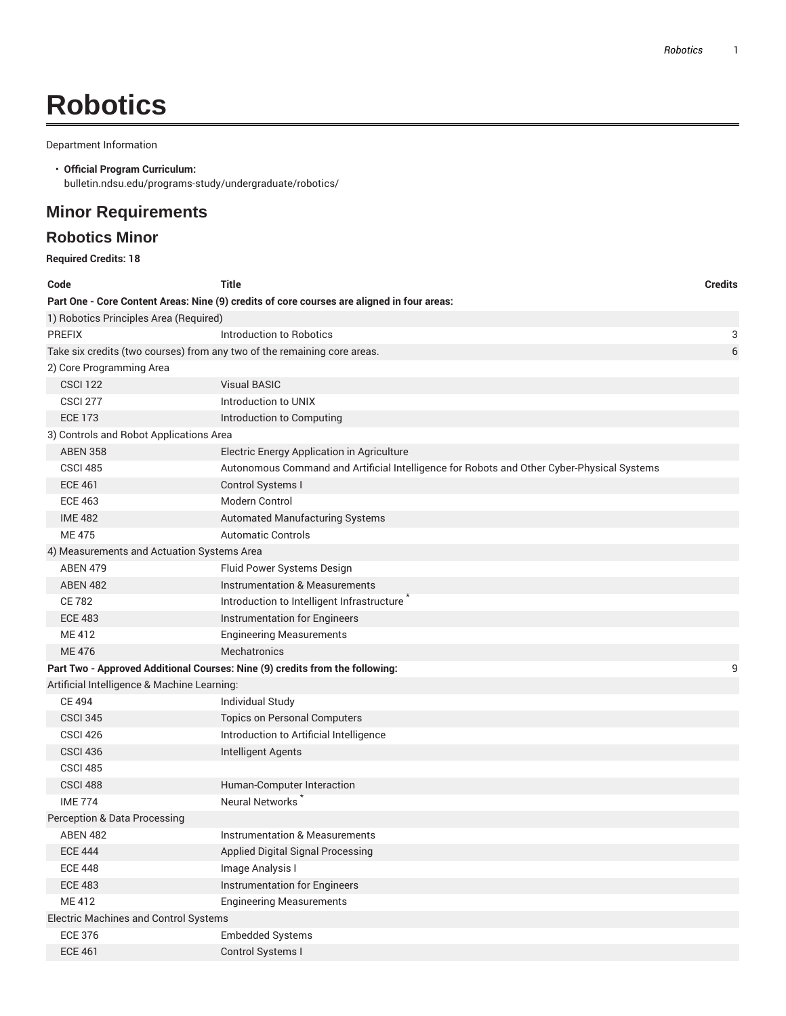# **Robotics**

Department Information

#### • **Official Program Curriculum:** bulletin.ndsu.edu/programs-study/undergraduate/robotics/

## **Minor Requirements**

### **Robotics Minor**

| <b>Required Credits: 18</b>                                              |                                                                                            |                |
|--------------------------------------------------------------------------|--------------------------------------------------------------------------------------------|----------------|
| Code                                                                     | <b>Title</b>                                                                               | <b>Credits</b> |
|                                                                          | Part One - Core Content Areas: Nine (9) credits of core courses are aligned in four areas: |                |
| 1) Robotics Principles Area (Required)                                   |                                                                                            |                |
| <b>PREFIX</b>                                                            | Introduction to Robotics                                                                   | 3              |
| Take six credits (two courses) from any two of the remaining core areas. |                                                                                            | 6              |
| 2) Core Programming Area                                                 |                                                                                            |                |
| <b>CSCI 122</b>                                                          | <b>Visual BASIC</b>                                                                        |                |
| <b>CSCI 277</b>                                                          | Introduction to UNIX                                                                       |                |
| <b>ECE 173</b>                                                           | Introduction to Computing                                                                  |                |
| 3) Controls and Robot Applications Area                                  |                                                                                            |                |
| <b>ABEN 358</b>                                                          | Electric Energy Application in Agriculture                                                 |                |
| <b>CSCI 485</b>                                                          | Autonomous Command and Artificial Intelligence for Robots and Other Cyber-Physical Systems |                |
| <b>ECE 461</b>                                                           | Control Systems I                                                                          |                |
| <b>ECE 463</b>                                                           | Modern Control                                                                             |                |
| <b>IME 482</b>                                                           | <b>Automated Manufacturing Systems</b>                                                     |                |
| <b>ME475</b>                                                             | <b>Automatic Controls</b>                                                                  |                |
| 4) Measurements and Actuation Systems Area                               |                                                                                            |                |
| <b>ABEN 479</b>                                                          | Fluid Power Systems Design                                                                 |                |
| <b>ABEN 482</b>                                                          | Instrumentation & Measurements                                                             |                |
| <b>CE 782</b>                                                            | Introduction to Intelligent Infrastructure                                                 |                |
| <b>ECE 483</b>                                                           | Instrumentation for Engineers                                                              |                |
| ME 412                                                                   | <b>Engineering Measurements</b>                                                            |                |
| ME 476                                                                   | <b>Mechatronics</b>                                                                        |                |
|                                                                          | Part Two - Approved Additional Courses: Nine (9) credits from the following:               | 9              |
| Artificial Intelligence & Machine Learning:                              |                                                                                            |                |
| <b>CE 494</b>                                                            | <b>Individual Study</b>                                                                    |                |
| <b>CSCI 345</b>                                                          | <b>Topics on Personal Computers</b>                                                        |                |
| <b>CSCI 426</b>                                                          | Introduction to Artificial Intelligence                                                    |                |
| <b>CSCI 436</b>                                                          | Intelligent Agents                                                                         |                |
| <b>CSCI 485</b>                                                          |                                                                                            |                |
| CSCI 488                                                                 | Human-Computer Interaction                                                                 |                |
| <b>IME 774</b>                                                           | <b>Neural Networks</b>                                                                     |                |
| Perception & Data Processing                                             |                                                                                            |                |
| <b>ABEN 482</b>                                                          | <b>Instrumentation &amp; Measurements</b>                                                  |                |
| <b>ECE 444</b>                                                           | Applied Digital Signal Processing                                                          |                |
| <b>ECE 448</b>                                                           | Image Analysis I                                                                           |                |
| <b>ECE 483</b>                                                           | Instrumentation for Engineers                                                              |                |
| ME 412                                                                   | <b>Engineering Measurements</b>                                                            |                |
| Electric Machines and Control Systems                                    |                                                                                            |                |
| <b>ECE 376</b>                                                           | <b>Embedded Systems</b>                                                                    |                |
| <b>ECE 461</b>                                                           | Control Systems I                                                                          |                |